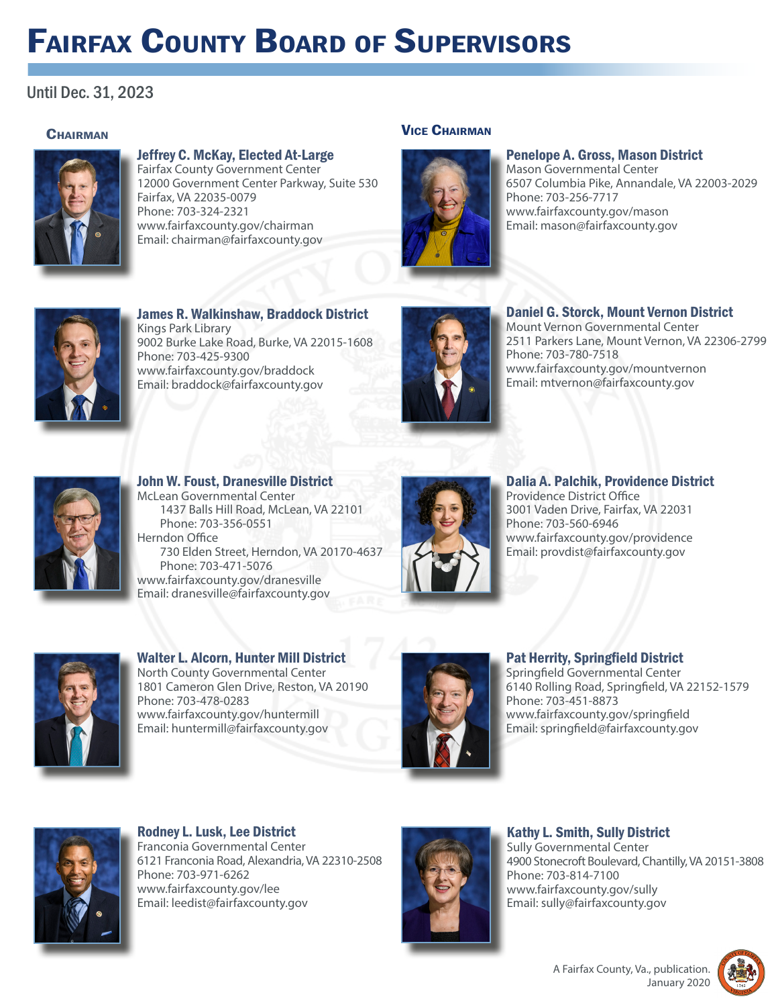# Fairfax County Board of Supervisors

# Until Dec. 31, 2023

## **CHAIRMAN**



#### Jeffrey C. McKay, Elected At-Large Fairfax County Government Center

12000 Government Center Parkway, Suite 530 Fairfax, VA 22035-0079 Phone: 703-324-2321 www.fairfaxcounty.gov/chairman Email: chairman@fairfaxcounty.gov

### Vice Chairman



## Penelope A. Gross, Mason District

Mason Governmental Center 6507 Columbia Pike, Annandale, VA 22003-2029 Phone: 703-256-7717 www.fairfaxcounty.gov/mason Email: mason@fairfaxcounty.gov



#### James R. Walkinshaw, Braddock District Kings Park Library 9002 Burke Lake Road, Burke, VA 22015-1608 Phone: 703-425-9300 www.fairfaxcounty.gov/braddock Email: braddock@fairfaxcounty.gov



## Daniel G. Storck, Mount Vernon District

Mount Vernon Governmental Center 2511 Parkers Lane, Mount Vernon, VA 22306-2799 Phone: 703-780-7518 www.fairfaxcounty.gov/mountvernon Email: mtvernon@fairfaxcounty.gov



#### John W. Foust, Dranesville District McLean Governmental Center 1437 Balls Hill Road, McLean, VA 22101 Phone: 703-356-0551 Herndon Office 730 Elden Street, Herndon, VA 20170-4637 Phone: 703-471-5076 www.fairfaxcounty.gov/dranesville Email: dranesville@fairfaxcounty.gov



#### Dalia A. Palchik, Providence District Providence District Office 3001 Vaden Drive, Fairfax, VA 22031 Phone: 703-560-6946 www.fairfaxcounty.gov/providence Email: provdist@fairfaxcounty.gov



Walter L. Alcorn, Hunter Mill District North County Governmental Center 1801 Cameron Glen Drive, Reston, VA 20190 Phone: 703-478-0283 www.fairfaxcounty.gov/huntermill Email: huntermill@fairfaxcounty.gov



## Pat Herrity, Springfield District

Springfield Governmental Center 6140 Rolling Road, Springfield, VA 22152-1579 Phone: 703-451-8873 www.fairfaxcounty.gov/springfield Email: springfield@fairfaxcounty.gov



#### Rodney L. Lusk, Lee District Franconia Governmental Center 6121 Franconia Road, Alexandria, VA 22310-2508 Phone: 703-971-6262 www.fairfaxcounty.gov/lee Email: leedist@fairfaxcounty.gov



Kathy L. Smith, Sully District Sully Governmental Center 4900 Stonecroft Boulevard, Chantilly, VA 20151-3808 Phone: 703-814-7100 www.fairfaxcounty.gov/sully Email: sully@fairfaxcounty.gov